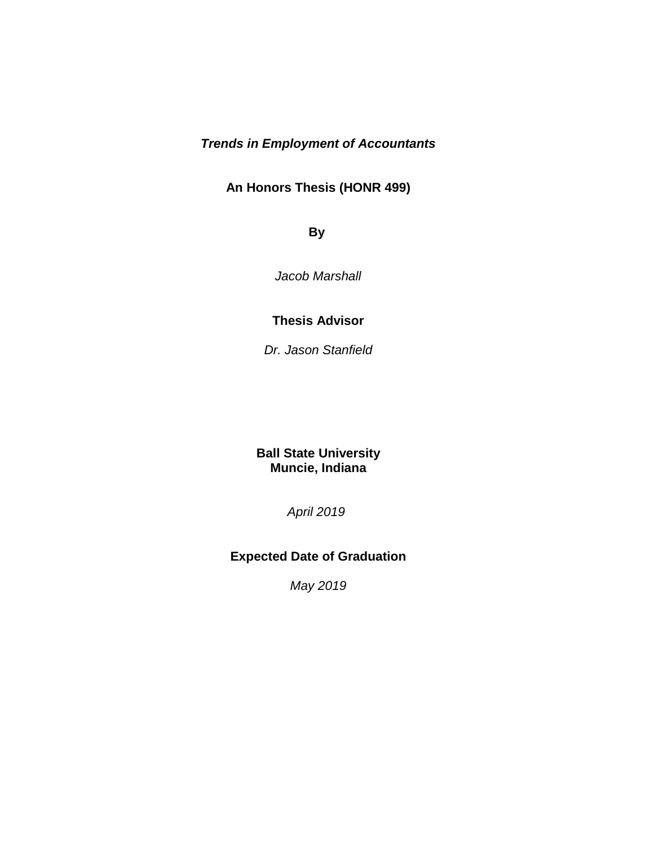## *Trends in Employment of Accountants*

## **An Honors Thesis (HONR 499)**

**By**

*Jacob Marshall* 

### **Thesis Advisor**

*Dr. Jason Stanfield*

## **Ball State University Muncie, Indiana**

*April 2019* 

## **Expected Date of Graduation**

*May 2019*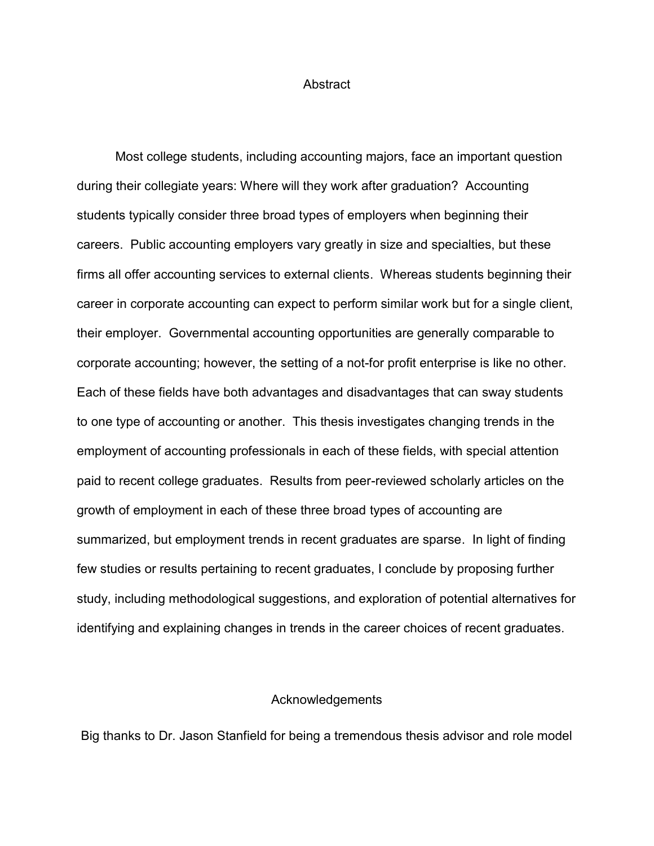#### Abstract

Most college students, including accounting majors, face an important question during their collegiate years: Where will they work after graduation? Accounting students typically consider three broad types of employers when beginning their careers. Public accounting employers vary greatly in size and specialties, but these firms all offer accounting services to external clients. Whereas students beginning their career in corporate accounting can expect to perform similar work but for a single client, their employer. Governmental accounting opportunities are generally comparable to corporate accounting; however, the setting of a not-for profit enterprise is like no other. Each of these fields have both advantages and disadvantages that can sway students to one type of accounting or another. This thesis investigates changing trends in the employment of accounting professionals in each of these fields, with special attention paid to recent college graduates. Results from peer-reviewed scholarly articles on the growth of employment in each of these three broad types of accounting are summarized, but employment trends in recent graduates are sparse. In light of finding few studies or results pertaining to recent graduates, I conclude by proposing further study, including methodological suggestions, and exploration of potential alternatives for identifying and explaining changes in trends in the career choices of recent graduates.

### Acknowledgements

Big thanks to Dr. Jason Stanfield for being a tremendous thesis advisor and role model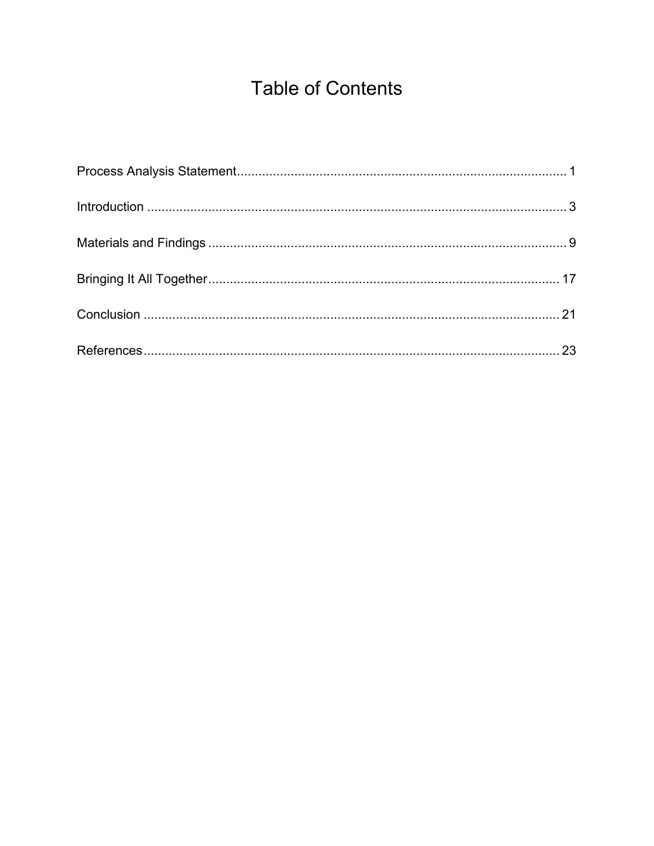# **Table of Contents**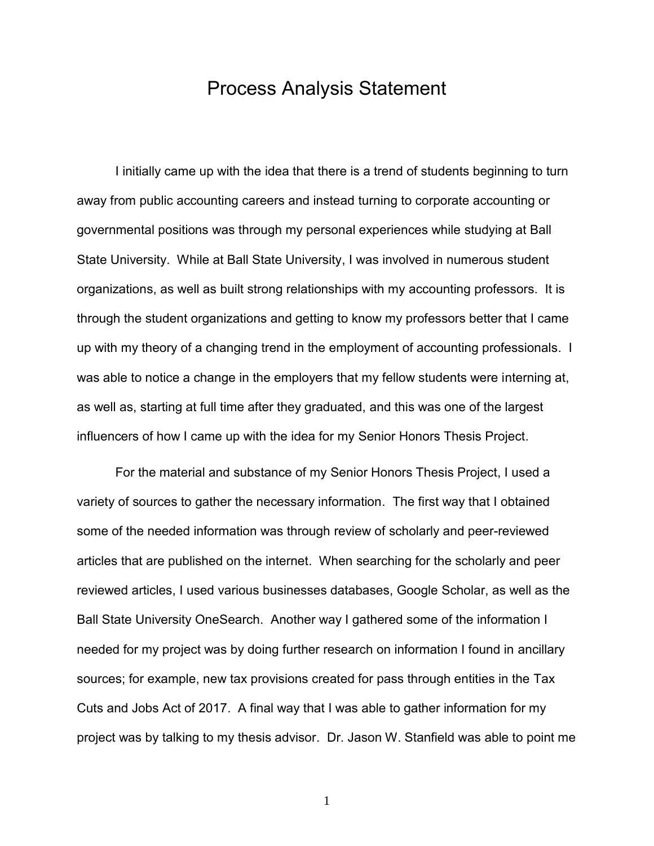## Process Analysis Statement

I initially came up with the idea that there is a trend of students beginning to turn away from public accounting careers and instead turning to corporate accounting or governmental positions was through my personal experiences while studying at Ball State University. While at Ball State University, I was involved in numerous student organizations, as well as built strong relationships with my accounting professors. It is through the student organizations and getting to know my professors better that I came up with my theory of a changing trend in the employment of accounting professionals. I was able to notice a change in the employers that my fellow students were interning at, as well as, starting at full time after they graduated, and this was one of the largest influencers of how I came up with the idea for my Senior Honors Thesis Project.

For the material and substance of my Senior Honors Thesis Project, I used a variety of sources to gather the necessary information. The first way that I obtained some of the needed information was through review of scholarly and peer-reviewed articles that are published on the internet. When searching for the scholarly and peer reviewed articles, I used various businesses databases, Google Scholar, as well as the Ball State University OneSearch. Another way I gathered some of the information I needed for my project was by doing further research on information I found in ancillary sources; for example, new tax provisions created for pass through entities in the Tax Cuts and Jobs Act of 2017. A final way that I was able to gather information for my project was by talking to my thesis advisor. Dr. Jason W. Stanfield was able to point me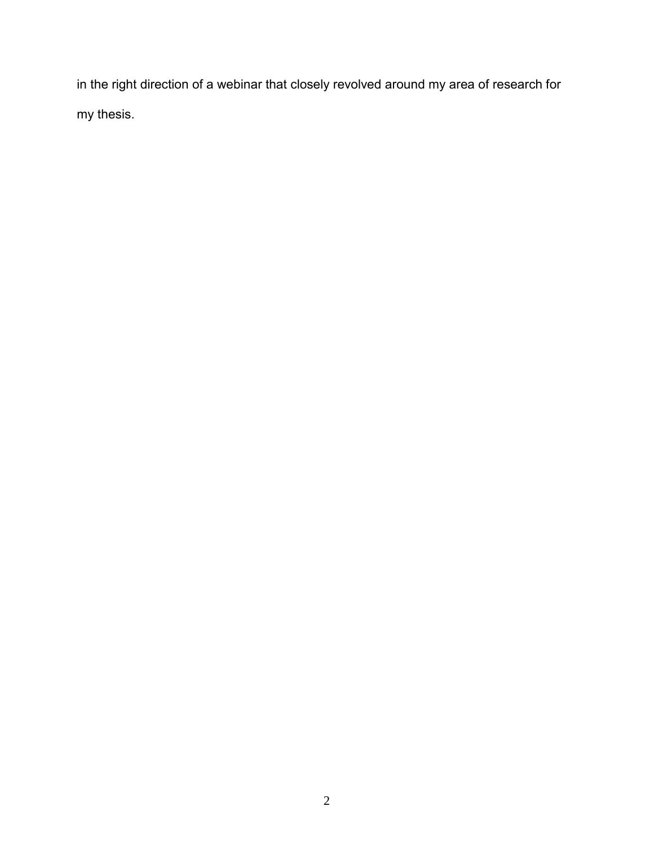in the right direction of a webinar that closely revolved around my area of research for my thesis.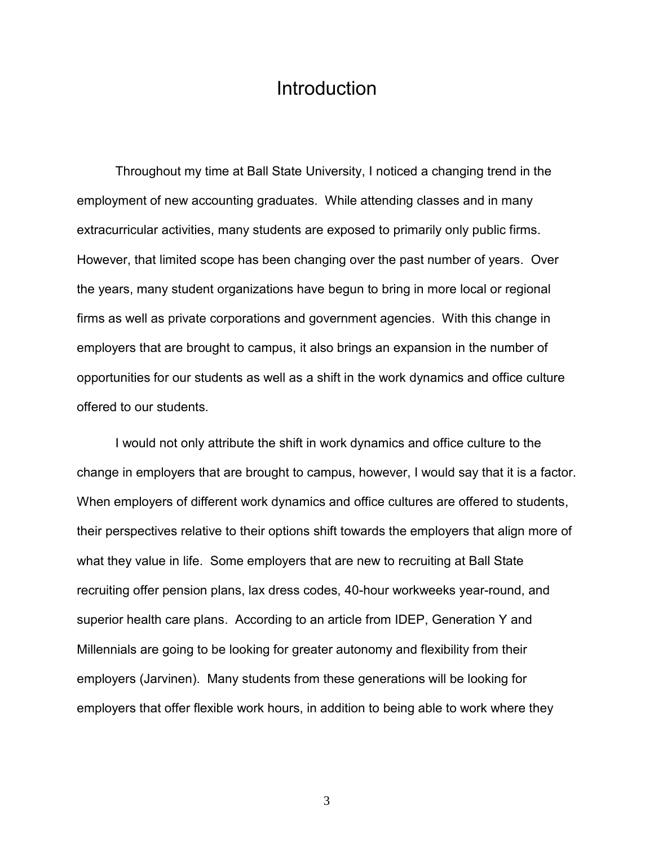## Introduction

Throughout my time at Ball State University, I noticed a changing trend in the employment of new accounting graduates. While attending classes and in many extracurricular activities, many students are exposed to primarily only public firms. However, that limited scope has been changing over the past number of years. Over the years, many student organizations have begun to bring in more local or regional firms as well as private corporations and government agencies. With this change in employers that are brought to campus, it also brings an expansion in the number of opportunities for our students as well as a shift in the work dynamics and office culture offered to our students.

I would not only attribute the shift in work dynamics and office culture to the change in employers that are brought to campus, however, I would say that it is a factor. When employers of different work dynamics and office cultures are offered to students, their perspectives relative to their options shift towards the employers that align more of what they value in life. Some employers that are new to recruiting at Ball State recruiting offer pension plans, lax dress codes, 40-hour workweeks year-round, and superior health care plans. According to an article from IDEP, Generation Y and Millennials are going to be looking for greater autonomy and flexibility from their employers (Jarvinen). Many students from these generations will be looking for employers that offer flexible work hours, in addition to being able to work where they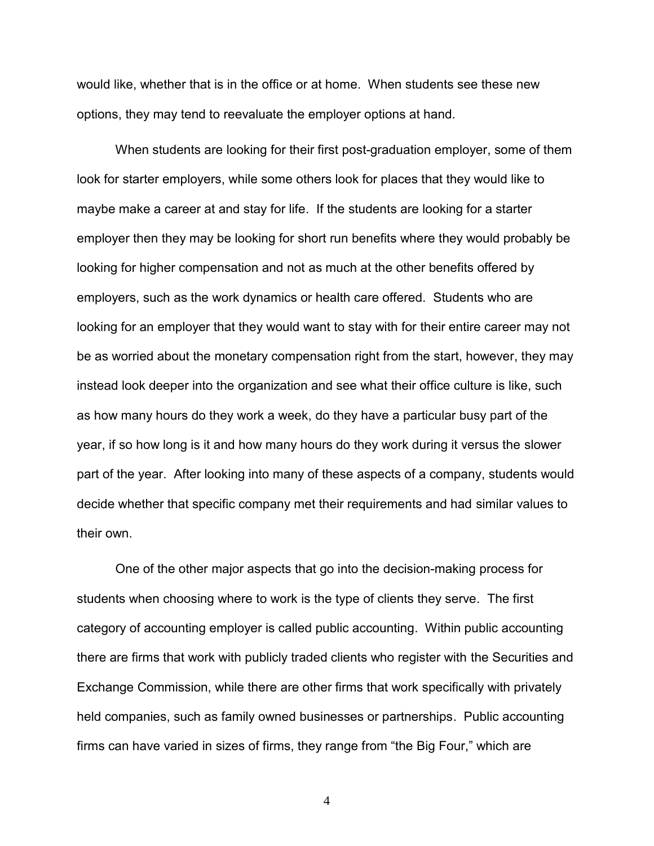would like, whether that is in the office or at home. When students see these new options, they may tend to reevaluate the employer options at hand.

When students are looking for their first post-graduation employer, some of them look for starter employers, while some others look for places that they would like to maybe make a career at and stay for life. If the students are looking for a starter employer then they may be looking for short run benefits where they would probably be looking for higher compensation and not as much at the other benefits offered by employers, such as the work dynamics or health care offered. Students who are looking for an employer that they would want to stay with for their entire career may not be as worried about the monetary compensation right from the start, however, they may instead look deeper into the organization and see what their office culture is like, such as how many hours do they work a week, do they have a particular busy part of the year, if so how long is it and how many hours do they work during it versus the slower part of the year. After looking into many of these aspects of a company, students would decide whether that specific company met their requirements and had similar values to their own.

One of the other major aspects that go into the decision-making process for students when choosing where to work is the type of clients they serve. The first category of accounting employer is called public accounting. Within public accounting there are firms that work with publicly traded clients who register with the Securities and Exchange Commission, while there are other firms that work specifically with privately held companies, such as family owned businesses or partnerships. Public accounting firms can have varied in sizes of firms, they range from "the Big Four," which are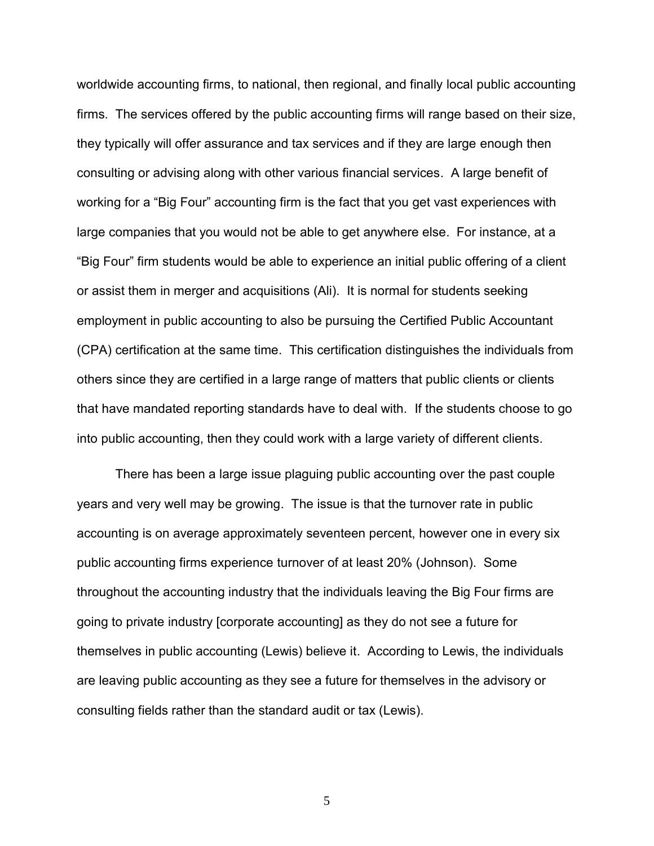worldwide accounting firms, to national, then regional, and finally local public accounting firms. The services offered by the public accounting firms will range based on their size, they typically will offer assurance and tax services and if they are large enough then consulting or advising along with other various financial services. A large benefit of working for a "Big Four" accounting firm is the fact that you get vast experiences with large companies that you would not be able to get anywhere else. For instance, at a "Big Four" firm students would be able to experience an initial public offering of a client or assist them in merger and acquisitions (Ali). It is normal for students seeking employment in public accounting to also be pursuing the Certified Public Accountant (CPA) certification at the same time. This certification distinguishes the individuals from others since they are certified in a large range of matters that public clients or clients that have mandated reporting standards have to deal with. If the students choose to go into public accounting, then they could work with a large variety of different clients.

There has been a large issue plaguing public accounting over the past couple years and very well may be growing. The issue is that the turnover rate in public accounting is on average approximately seventeen percent, however one in every six public accounting firms experience turnover of at least 20% (Johnson). Some throughout the accounting industry that the individuals leaving the Big Four firms are going to private industry [corporate accounting] as they do not see a future for themselves in public accounting (Lewis) believe it. According to Lewis, the individuals are leaving public accounting as they see a future for themselves in the advisory or consulting fields rather than the standard audit or tax (Lewis).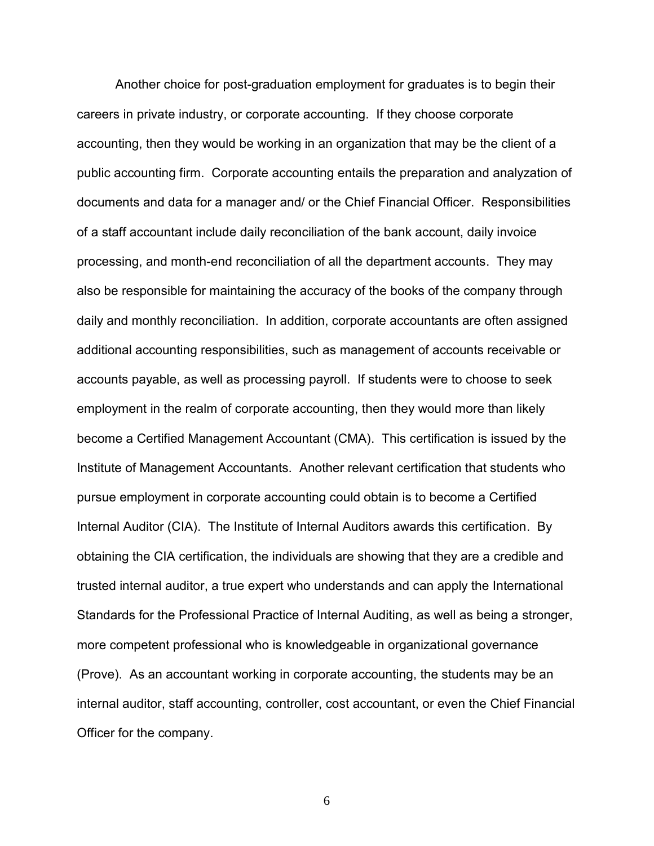Another choice for post-graduation employment for graduates is to begin their careers in private industry, or corporate accounting. If they choose corporate accounting, then they would be working in an organization that may be the client of a public accounting firm. Corporate accounting entails the preparation and analyzation of documents and data for a manager and/ or the Chief Financial Officer. Responsibilities of a staff accountant include daily reconciliation of the bank account, daily invoice processing, and month-end reconciliation of all the department accounts. They may also be responsible for maintaining the accuracy of the books of the company through daily and monthly reconciliation. In addition, corporate accountants are often assigned additional accounting responsibilities, such as management of accounts receivable or accounts payable, as well as processing payroll. If students were to choose to seek employment in the realm of corporate accounting, then they would more than likely become a Certified Management Accountant (CMA). This certification is issued by the Institute of Management Accountants. Another relevant certification that students who pursue employment in corporate accounting could obtain is to become a Certified Internal Auditor (CIA). The Institute of Internal Auditors awards this certification. By obtaining the CIA certification, the individuals are showing that they are a credible and trusted internal auditor, a true expert who understands and can apply the International Standards for the Professional Practice of Internal Auditing, as well as being a stronger, more competent professional who is knowledgeable in organizational governance (Prove). As an accountant working in corporate accounting, the students may be an internal auditor, staff accounting, controller, cost accountant, or even the Chief Financial Officer for the company.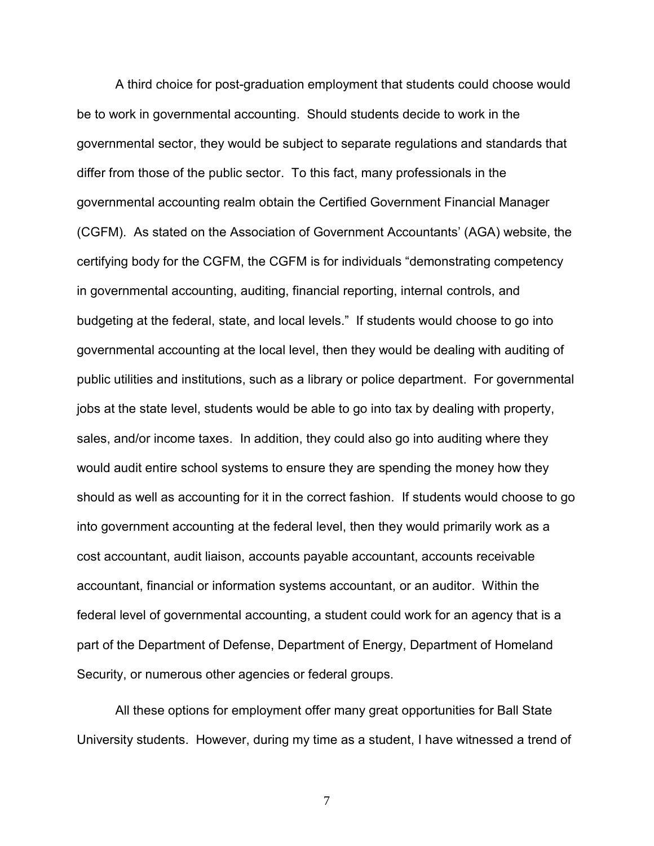A third choice for post-graduation employment that students could choose would be to work in governmental accounting. Should students decide to work in the governmental sector, they would be subject to separate regulations and standards that differ from those of the public sector. To this fact, many professionals in the governmental accounting realm obtain the Certified Government Financial Manager (CGFM). As stated on the Association of Government Accountants' (AGA) website, the certifying body for the CGFM, the CGFM is for individuals "demonstrating competency in governmental accounting, auditing, financial reporting, internal controls, and budgeting at the federal, state, and local levels." If students would choose to go into governmental accounting at the local level, then they would be dealing with auditing of public utilities and institutions, such as a library or police department. For governmental jobs at the state level, students would be able to go into tax by dealing with property, sales, and/or income taxes. In addition, they could also go into auditing where they would audit entire school systems to ensure they are spending the money how they should as well as accounting for it in the correct fashion. If students would choose to go into government accounting at the federal level, then they would primarily work as a cost accountant, audit liaison, accounts payable accountant, accounts receivable accountant, financial or information systems accountant, or an auditor. Within the federal level of governmental accounting, a student could work for an agency that is a part of the Department of Defense, Department of Energy, Department of Homeland Security, or numerous other agencies or federal groups.

All these options for employment offer many great opportunities for Ball State University students. However, during my time as a student, I have witnessed a trend of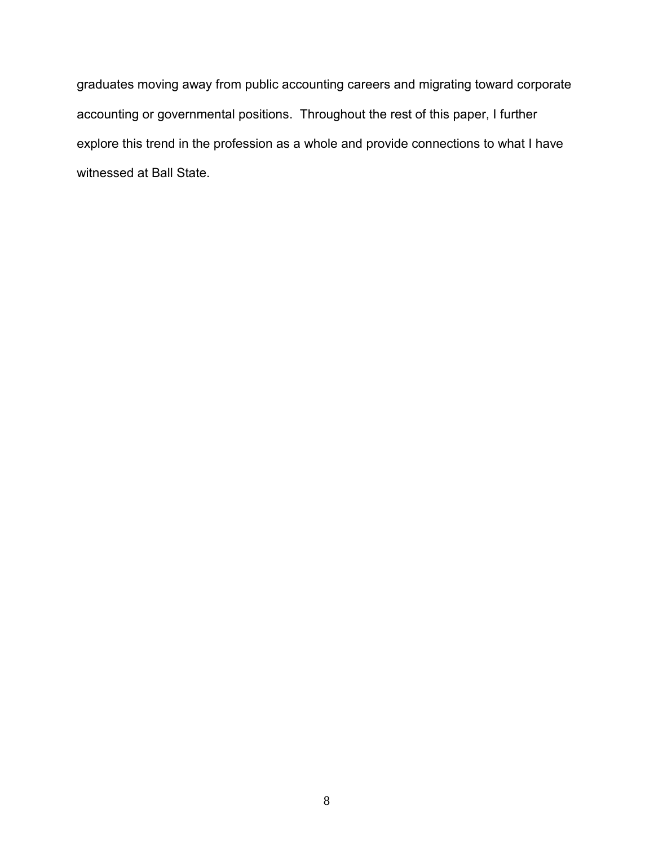graduates moving away from public accounting careers and migrating toward corporate accounting or governmental positions. Throughout the rest of this paper, I further explore this trend in the profession as a whole and provide connections to what I have witnessed at Ball State.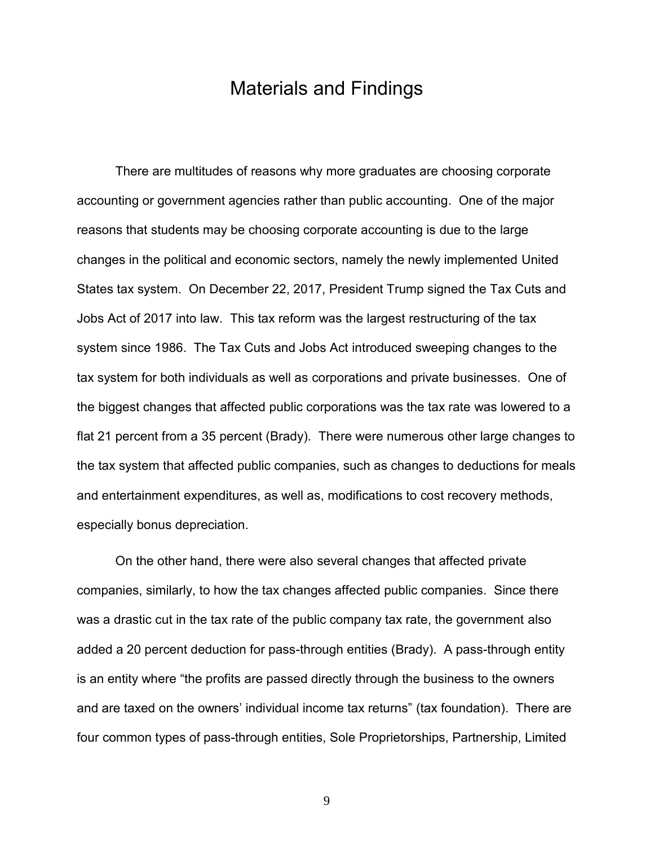# Materials and Findings

There are multitudes of reasons why more graduates are choosing corporate accounting or government agencies rather than public accounting. One of the major reasons that students may be choosing corporate accounting is due to the large changes in the political and economic sectors, namely the newly implemented United States tax system. On December 22, 2017, President Trump signed the Tax Cuts and Jobs Act of 2017 into law. This tax reform was the largest restructuring of the tax system since 1986. The Tax Cuts and Jobs Act introduced sweeping changes to the tax system for both individuals as well as corporations and private businesses. One of the biggest changes that affected public corporations was the tax rate was lowered to a flat 21 percent from a 35 percent (Brady). There were numerous other large changes to the tax system that affected public companies, such as changes to deductions for meals and entertainment expenditures, as well as, modifications to cost recovery methods, especially bonus depreciation.

On the other hand, there were also several changes that affected private companies, similarly, to how the tax changes affected public companies. Since there was a drastic cut in the tax rate of the public company tax rate, the government also added a 20 percent deduction for pass-through entities (Brady). A pass-through entity is an entity where "the profits are passed directly through the business to the owners and are taxed on the owners' individual income tax returns" (tax foundation). There are four common types of pass-through entities, Sole Proprietorships, Partnership, Limited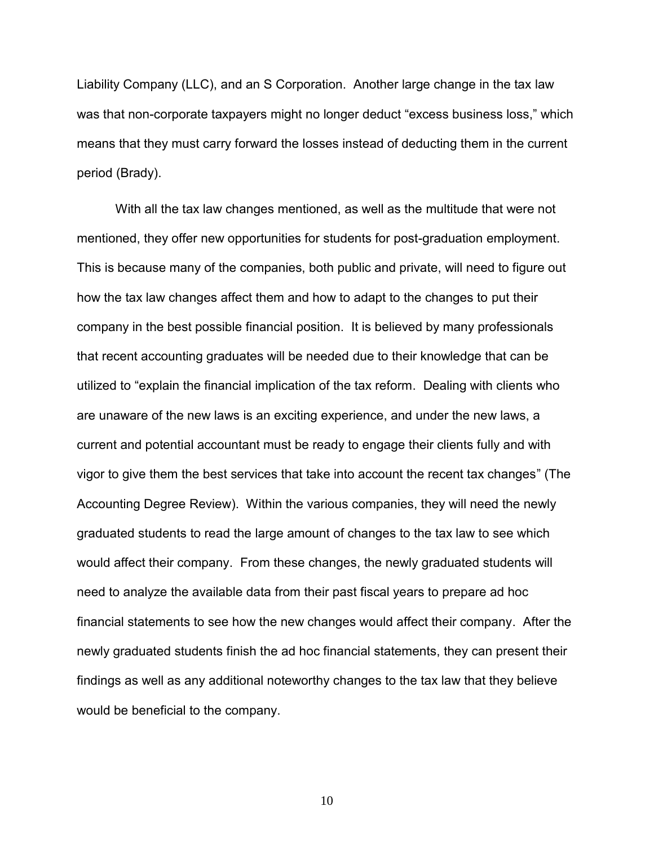Liability Company (LLC), and an S Corporation. Another large change in the tax law was that non-corporate taxpayers might no longer deduct "excess business loss," which means that they must carry forward the losses instead of deducting them in the current period (Brady).

With all the tax law changes mentioned, as well as the multitude that were not mentioned, they offer new opportunities for students for post-graduation employment. This is because many of the companies, both public and private, will need to figure out how the tax law changes affect them and how to adapt to the changes to put their company in the best possible financial position. It is believed by many professionals that recent accounting graduates will be needed due to their knowledge that can be utilized to "explain the financial implication of the tax reform. Dealing with clients who are unaware of the new laws is an exciting experience, and under the new laws, a current and potential accountant must be ready to engage their clients fully and with vigor to give them the best services that take into account the recent tax changes" (The Accounting Degree Review). Within the various companies, they will need the newly graduated students to read the large amount of changes to the tax law to see which would affect their company. From these changes, the newly graduated students will need to analyze the available data from their past fiscal years to prepare ad hoc financial statements to see how the new changes would affect their company. After the newly graduated students finish the ad hoc financial statements, they can present their findings as well as any additional noteworthy changes to the tax law that they believe would be beneficial to the company.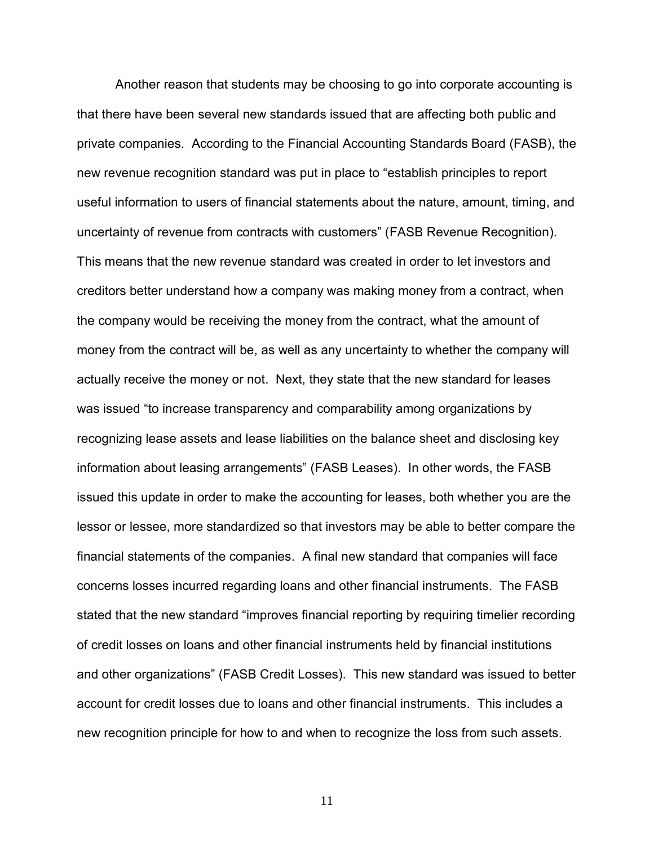Another reason that students may be choosing to go into corporate accounting is that there have been several new standards issued that are affecting both public and private companies. According to the Financial Accounting Standards Board (FASB), the new revenue recognition standard was put in place to "establish principles to report useful information to users of financial statements about the nature, amount, timing, and uncertainty of revenue from contracts with customers" (FASB Revenue Recognition). This means that the new revenue standard was created in order to let investors and creditors better understand how a company was making money from a contract, when the company would be receiving the money from the contract, what the amount of money from the contract will be, as well as any uncertainty to whether the company will actually receive the money or not. Next, they state that the new standard for leases was issued "to increase transparency and comparability among organizations by recognizing lease assets and lease liabilities on the balance sheet and disclosing key information about leasing arrangements" (FASB Leases). In other words, the FASB issued this update in order to make the accounting for leases, both whether you are the lessor or lessee, more standardized so that investors may be able to better compare the financial statements of the companies. A final new standard that companies will face concerns losses incurred regarding loans and other financial instruments. The FASB stated that the new standard "improves financial reporting by requiring timelier recording of credit losses on loans and other financial instruments held by financial institutions and other organizations" (FASB Credit Losses). This new standard was issued to better account for credit losses due to loans and other financial instruments. This includes a new recognition principle for how to and when to recognize the loss from such assets.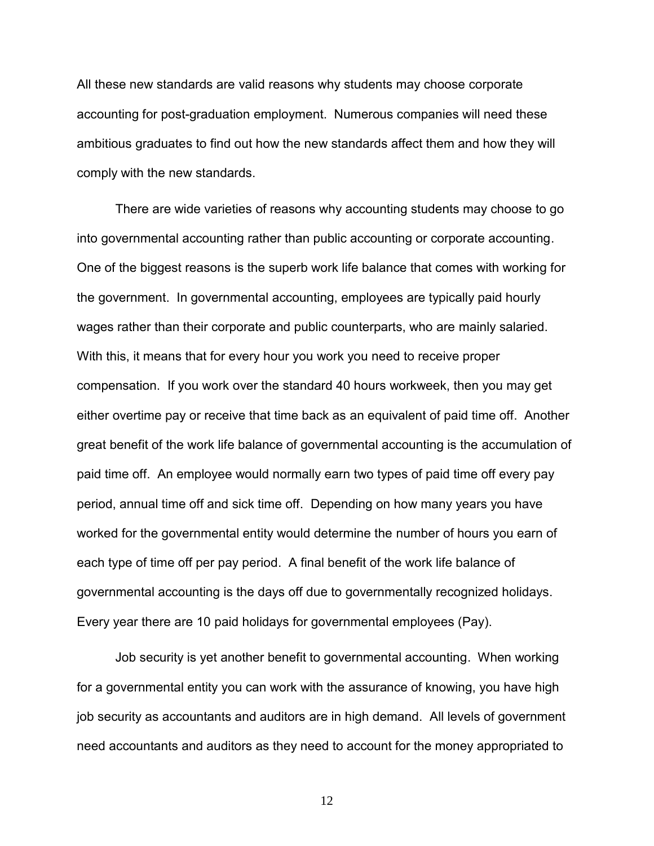All these new standards are valid reasons why students may choose corporate accounting for post-graduation employment. Numerous companies will need these ambitious graduates to find out how the new standards affect them and how they will comply with the new standards.

There are wide varieties of reasons why accounting students may choose to go into governmental accounting rather than public accounting or corporate accounting. One of the biggest reasons is the superb work life balance that comes with working for the government. In governmental accounting, employees are typically paid hourly wages rather than their corporate and public counterparts, who are mainly salaried. With this, it means that for every hour you work you need to receive proper compensation. If you work over the standard 40 hours workweek, then you may get either overtime pay or receive that time back as an equivalent of paid time off. Another great benefit of the work life balance of governmental accounting is the accumulation of paid time off. An employee would normally earn two types of paid time off every pay period, annual time off and sick time off. Depending on how many years you have worked for the governmental entity would determine the number of hours you earn of each type of time off per pay period. A final benefit of the work life balance of governmental accounting is the days off due to governmentally recognized holidays. Every year there are 10 paid holidays for governmental employees (Pay).

Job security is yet another benefit to governmental accounting. When working for a governmental entity you can work with the assurance of knowing, you have high job security as accountants and auditors are in high demand. All levels of government need accountants and auditors as they need to account for the money appropriated to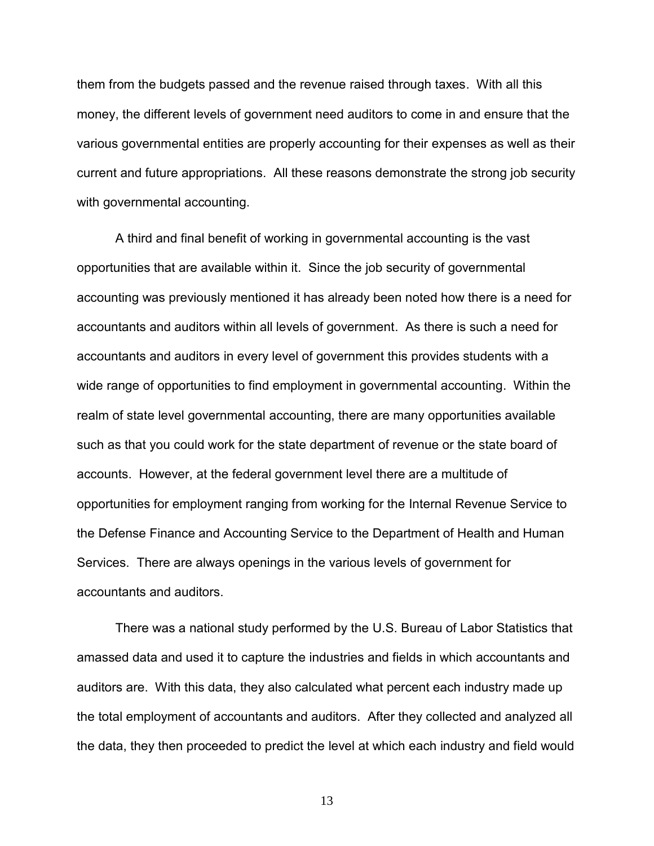them from the budgets passed and the revenue raised through taxes. With all this money, the different levels of government need auditors to come in and ensure that the various governmental entities are properly accounting for their expenses as well as their current and future appropriations. All these reasons demonstrate the strong job security with governmental accounting.

A third and final benefit of working in governmental accounting is the vast opportunities that are available within it. Since the job security of governmental accounting was previously mentioned it has already been noted how there is a need for accountants and auditors within all levels of government. As there is such a need for accountants and auditors in every level of government this provides students with a wide range of opportunities to find employment in governmental accounting. Within the realm of state level governmental accounting, there are many opportunities available such as that you could work for the state department of revenue or the state board of accounts. However, at the federal government level there are a multitude of opportunities for employment ranging from working for the Internal Revenue Service to the Defense Finance and Accounting Service to the Department of Health and Human Services. There are always openings in the various levels of government for accountants and auditors.

There was a national study performed by the U.S. Bureau of Labor Statistics that amassed data and used it to capture the industries and fields in which accountants and auditors are. With this data, they also calculated what percent each industry made up the total employment of accountants and auditors. After they collected and analyzed all the data, they then proceeded to predict the level at which each industry and field would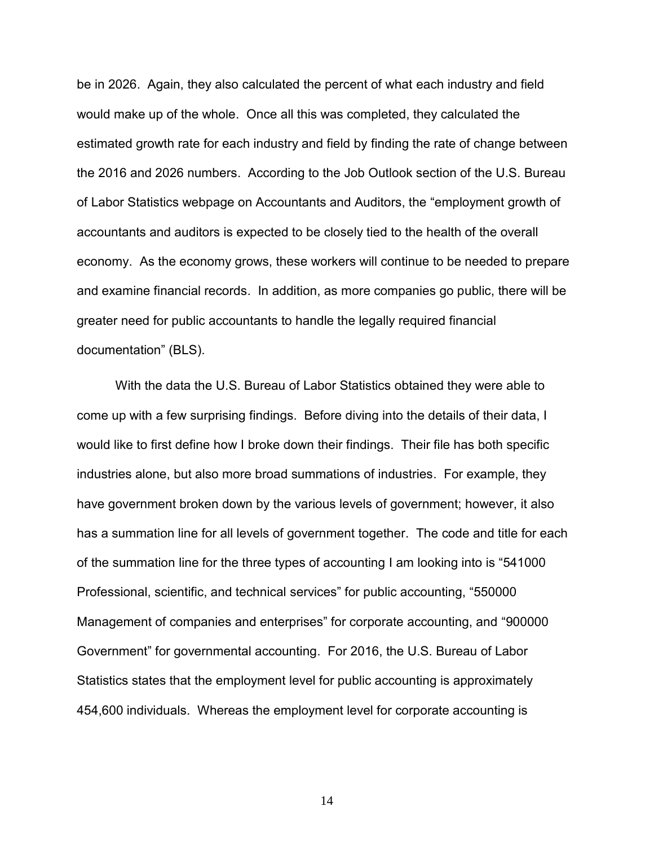be in 2026. Again, they also calculated the percent of what each industry and field would make up of the whole. Once all this was completed, they calculated the estimated growth rate for each industry and field by finding the rate of change between the 2016 and 2026 numbers. According to the Job Outlook section of the U.S. Bureau of Labor Statistics webpage on Accountants and Auditors, the "employment growth of accountants and auditors is expected to be closely tied to the health of the overall economy. As the economy grows, these workers will continue to be needed to prepare and examine financial records. In addition, as more companies go public, there will be greater need for public accountants to handle the legally required financial documentation" (BLS).

With the data the U.S. Bureau of Labor Statistics obtained they were able to come up with a few surprising findings. Before diving into the details of their data, I would like to first define how I broke down their findings. Their file has both specific industries alone, but also more broad summations of industries. For example, they have government broken down by the various levels of government; however, it also has a summation line for all levels of government together. The code and title for each of the summation line for the three types of accounting I am looking into is "541000 Professional, scientific, and technical services" for public accounting, "550000 Management of companies and enterprises" for corporate accounting, and "900000 Government" for governmental accounting. For 2016, the U.S. Bureau of Labor Statistics states that the employment level for public accounting is approximately 454,600 individuals. Whereas the employment level for corporate accounting is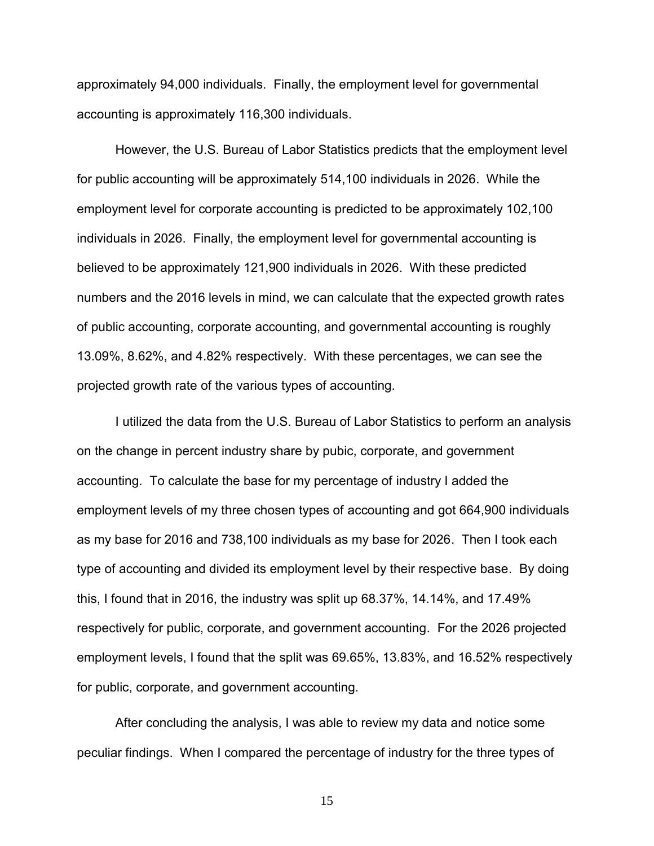approximately 94,000 individuals. Finally, the employment level for governmental accounting is approximately 116,300 individuals.

However, the U.S. Bureau of Labor Statistics predicts that the employment level for public accounting will be approximately 514,100 individuals in 2026. While the employment level for corporate accounting is predicted to be approximately 102,100 individuals in 2026. Finally, the employment level for governmental accounting is believed to be approximately 121,900 individuals in 2026. With these predicted numbers and the 2016 levels in mind, we can calculate that the expected growth rates of public accounting, corporate accounting, and governmental accounting is roughly 13.09%, 8.62%, and 4.82% respectively. With these percentages, we can see the projected growth rate of the various types of accounting.

I utilized the data from the U.S. Bureau of Labor Statistics to perform an analysis on the change in percent industry share by pubic, corporate, and government accounting. To calculate the base for my percentage of industry I added the employment levels of my three chosen types of accounting and got 664,900 individuals as my base for 2016 and 738,100 individuals as my base for 2026. Then I took each type of accounting and divided its employment level by their respective base. By doing this, I found that in 2016, the industry was split up 68.37%, 14.14%, and 17.49% respectively for public, corporate, and government accounting. For the 2026 projected employment levels, I found that the split was 69.65%, 13.83%, and 16.52% respectively for public, corporate, and government accounting.

After concluding the analysis, I was able to review my data and notice some peculiar findings. When I compared the percentage of industry for the three types of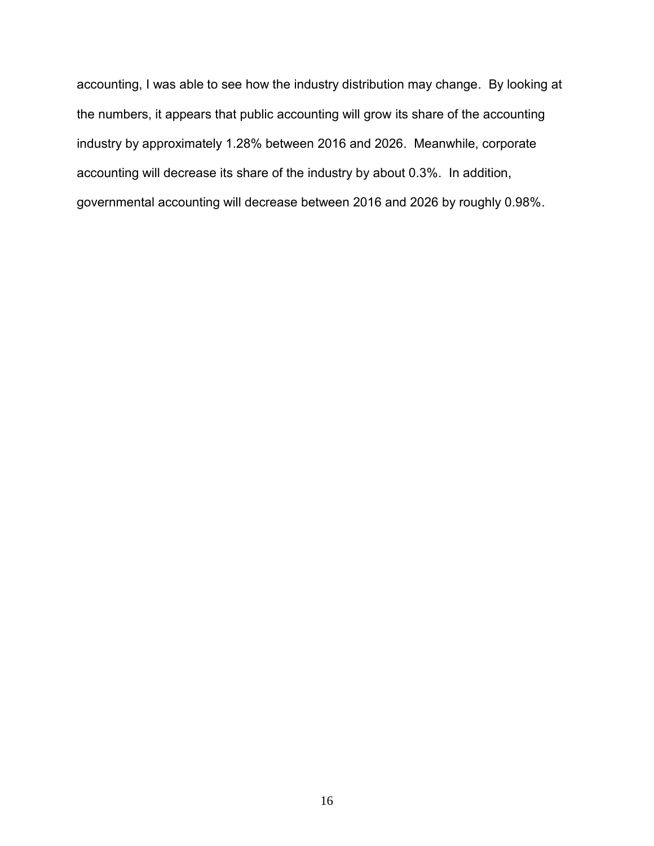accounting, I was able to see how the industry distribution may change. By looking at the numbers, it appears that public accounting will grow its share of the accounting industry by approximately 1.28% between 2016 and 2026. Meanwhile, corporate accounting will decrease its share of the industry by about 0.3%. In addition, governmental accounting will decrease between 2016 and 2026 by roughly 0.98%.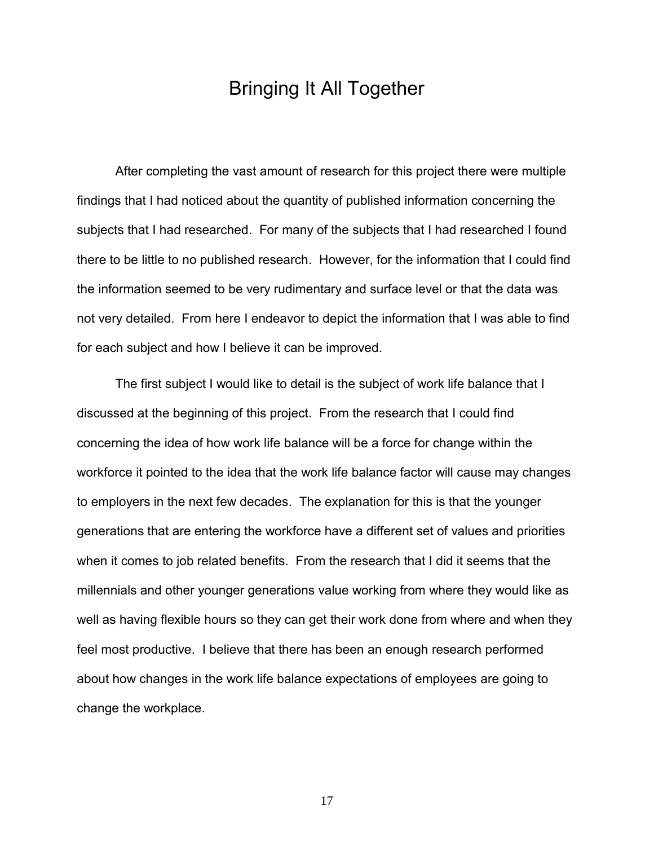# Bringing It All Together

After completing the vast amount of research for this project there were multiple findings that I had noticed about the quantity of published information concerning the subjects that I had researched. For many of the subjects that I had researched I found there to be little to no published research. However, for the information that I could find the information seemed to be very rudimentary and surface level or that the data was not very detailed. From here I endeavor to depict the information that I was able to find for each subject and how I believe it can be improved.

The first subject I would like to detail is the subject of work life balance that I discussed at the beginning of this project. From the research that I could find concerning the idea of how work life balance will be a force for change within the workforce it pointed to the idea that the work life balance factor will cause may changes to employers in the next few decades. The explanation for this is that the younger generations that are entering the workforce have a different set of values and priorities when it comes to job related benefits. From the research that I did it seems that the millennials and other younger generations value working from where they would like as well as having flexible hours so they can get their work done from where and when they feel most productive. I believe that there has been an enough research performed about how changes in the work life balance expectations of employees are going to change the workplace.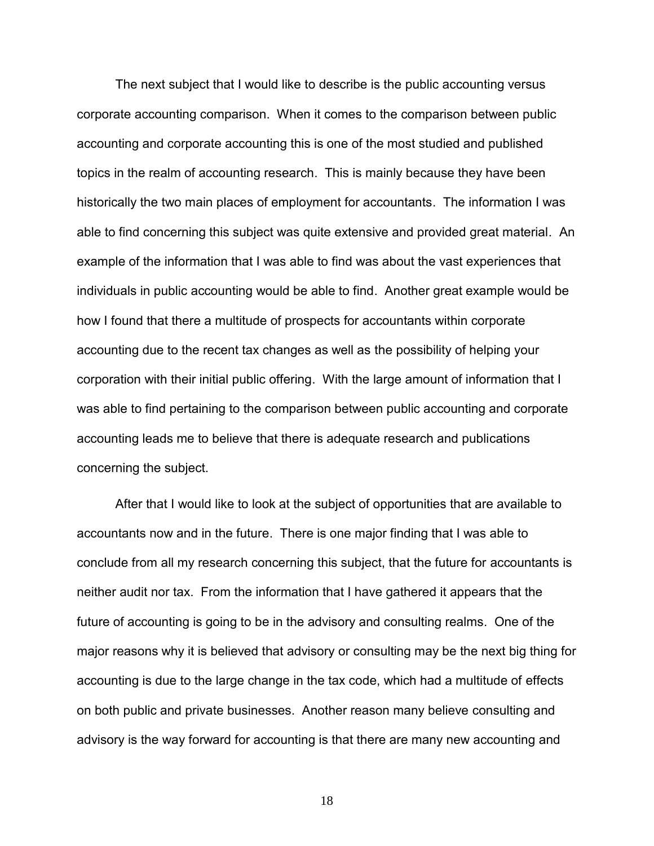The next subject that I would like to describe is the public accounting versus corporate accounting comparison. When it comes to the comparison between public accounting and corporate accounting this is one of the most studied and published topics in the realm of accounting research. This is mainly because they have been historically the two main places of employment for accountants. The information I was able to find concerning this subject was quite extensive and provided great material. An example of the information that I was able to find was about the vast experiences that individuals in public accounting would be able to find. Another great example would be how I found that there a multitude of prospects for accountants within corporate accounting due to the recent tax changes as well as the possibility of helping your corporation with their initial public offering. With the large amount of information that I was able to find pertaining to the comparison between public accounting and corporate accounting leads me to believe that there is adequate research and publications concerning the subject.

After that I would like to look at the subject of opportunities that are available to accountants now and in the future. There is one major finding that I was able to conclude from all my research concerning this subject, that the future for accountants is neither audit nor tax. From the information that I have gathered it appears that the future of accounting is going to be in the advisory and consulting realms. One of the major reasons why it is believed that advisory or consulting may be the next big thing for accounting is due to the large change in the tax code, which had a multitude of effects on both public and private businesses. Another reason many believe consulting and advisory is the way forward for accounting is that there are many new accounting and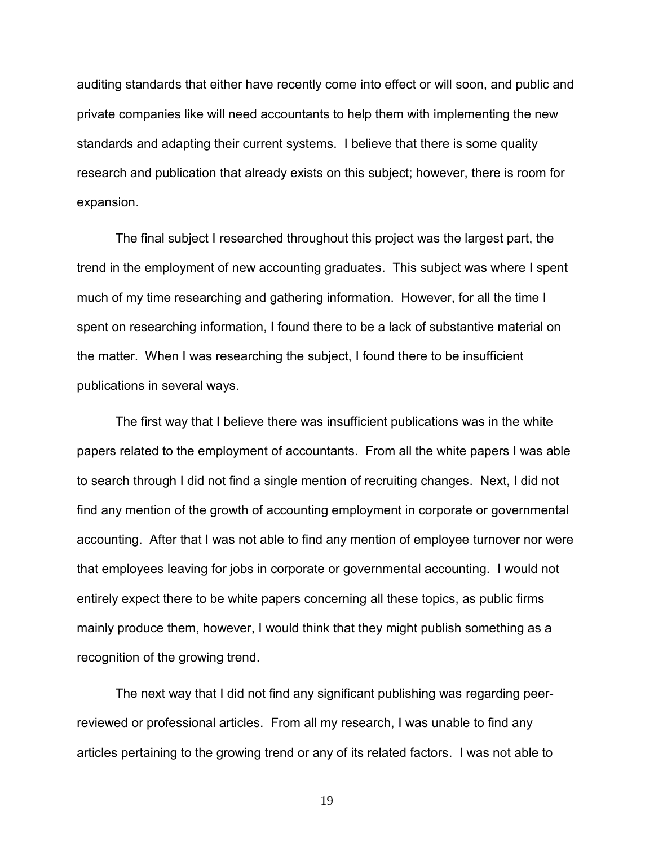auditing standards that either have recently come into effect or will soon, and public and private companies like will need accountants to help them with implementing the new standards and adapting their current systems. I believe that there is some quality research and publication that already exists on this subject; however, there is room for expansion.

The final subject I researched throughout this project was the largest part, the trend in the employment of new accounting graduates. This subject was where I spent much of my time researching and gathering information. However, for all the time I spent on researching information, I found there to be a lack of substantive material on the matter. When I was researching the subject, I found there to be insufficient publications in several ways.

The first way that I believe there was insufficient publications was in the white papers related to the employment of accountants. From all the white papers I was able to search through I did not find a single mention of recruiting changes. Next, I did not find any mention of the growth of accounting employment in corporate or governmental accounting. After that I was not able to find any mention of employee turnover nor were that employees leaving for jobs in corporate or governmental accounting. I would not entirely expect there to be white papers concerning all these topics, as public firms mainly produce them, however, I would think that they might publish something as a recognition of the growing trend.

The next way that I did not find any significant publishing was regarding peerreviewed or professional articles. From all my research, I was unable to find any articles pertaining to the growing trend or any of its related factors. I was not able to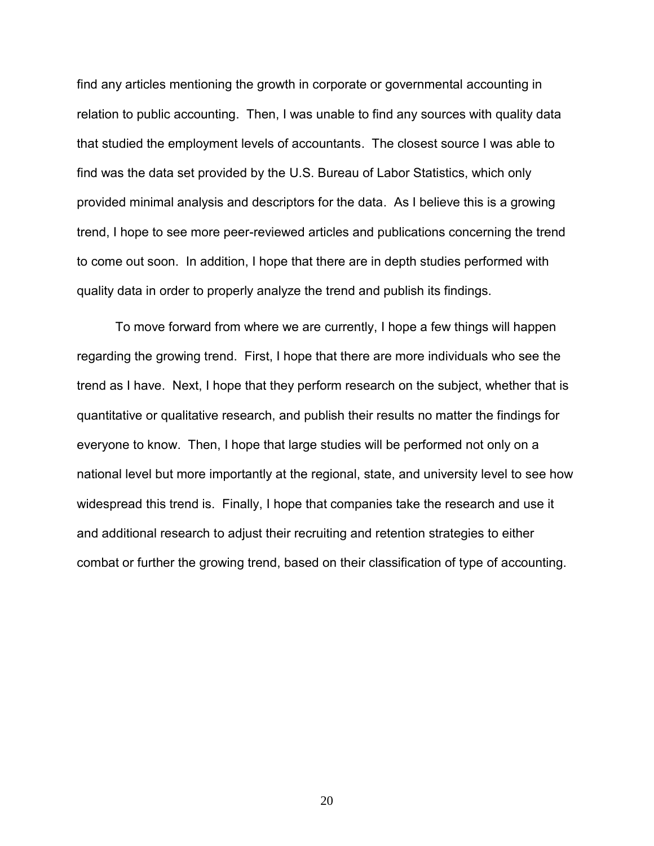find any articles mentioning the growth in corporate or governmental accounting in relation to public accounting. Then, I was unable to find any sources with quality data that studied the employment levels of accountants. The closest source I was able to find was the data set provided by the U.S. Bureau of Labor Statistics, which only provided minimal analysis and descriptors for the data. As I believe this is a growing trend, I hope to see more peer-reviewed articles and publications concerning the trend to come out soon. In addition, I hope that there are in depth studies performed with quality data in order to properly analyze the trend and publish its findings.

To move forward from where we are currently, I hope a few things will happen regarding the growing trend. First, I hope that there are more individuals who see the trend as I have. Next, I hope that they perform research on the subject, whether that is quantitative or qualitative research, and publish their results no matter the findings for everyone to know. Then, I hope that large studies will be performed not only on a national level but more importantly at the regional, state, and university level to see how widespread this trend is. Finally, I hope that companies take the research and use it and additional research to adjust their recruiting and retention strategies to either combat or further the growing trend, based on their classification of type of accounting.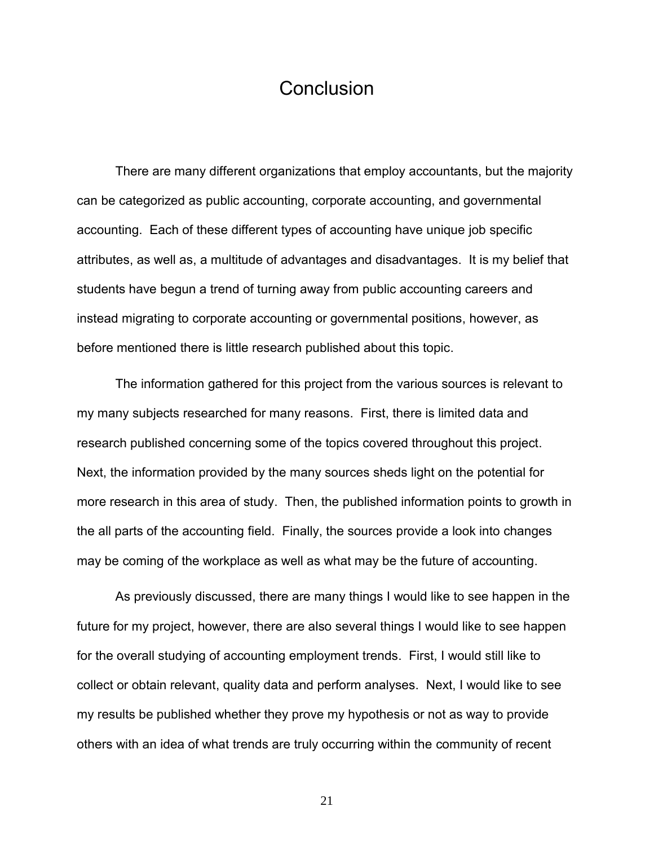# **Conclusion**

There are many different organizations that employ accountants, but the majority can be categorized as public accounting, corporate accounting, and governmental accounting. Each of these different types of accounting have unique job specific attributes, as well as, a multitude of advantages and disadvantages. It is my belief that students have begun a trend of turning away from public accounting careers and instead migrating to corporate accounting or governmental positions, however, as before mentioned there is little research published about this topic.

The information gathered for this project from the various sources is relevant to my many subjects researched for many reasons. First, there is limited data and research published concerning some of the topics covered throughout this project. Next, the information provided by the many sources sheds light on the potential for more research in this area of study. Then, the published information points to growth in the all parts of the accounting field. Finally, the sources provide a look into changes may be coming of the workplace as well as what may be the future of accounting.

As previously discussed, there are many things I would like to see happen in the future for my project, however, there are also several things I would like to see happen for the overall studying of accounting employment trends. First, I would still like to collect or obtain relevant, quality data and perform analyses. Next, I would like to see my results be published whether they prove my hypothesis or not as way to provide others with an idea of what trends are truly occurring within the community of recent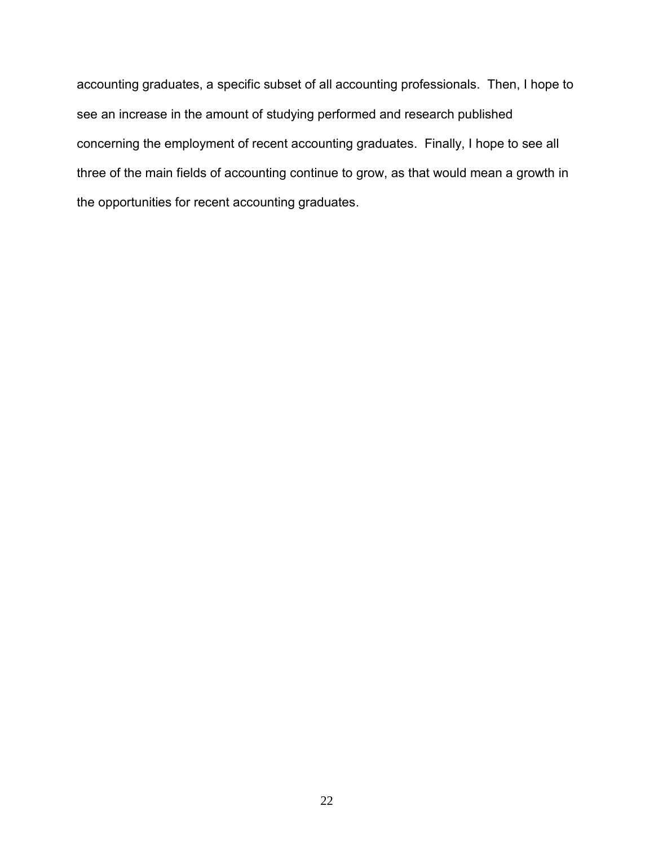accounting graduates, a specific subset of all accounting professionals. Then, I hope to see an increase in the amount of studying performed and research published concerning the employment of recent accounting graduates. Finally, I hope to see all three of the main fields of accounting continue to grow, as that would mean a growth in the opportunities for recent accounting graduates.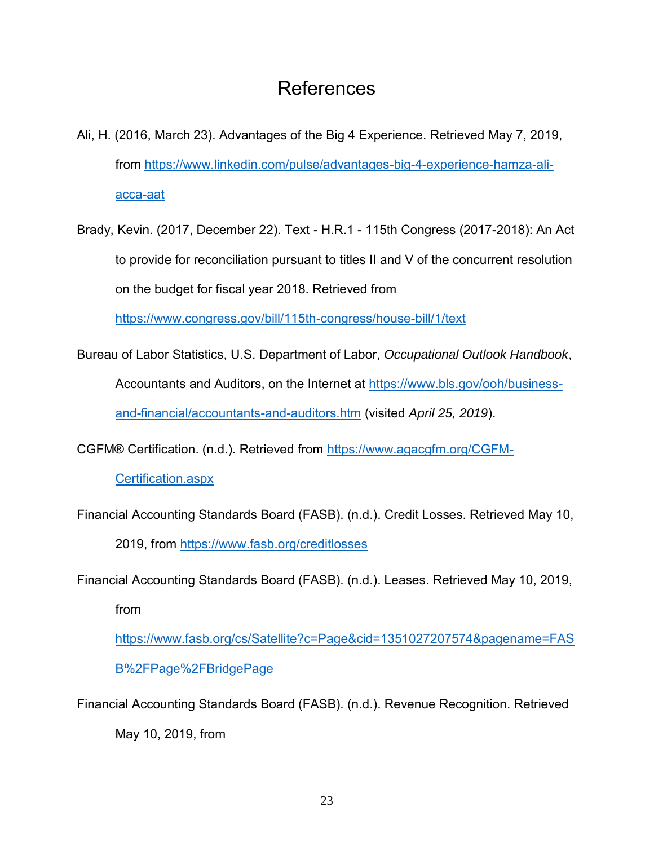# References

- Ali, H. (2016, March 23). Advantages of the Big 4 Experience. Retrieved May 7, 2019, from https://www.linkedin.com/pulse/advantages-big-4-experience-hamza-aliacca-aat
- Brady, Kevin. (2017, December 22). Text H.R.1 115th Congress (2017-2018): An Act to provide for reconciliation pursuant to titles II and V of the concurrent resolution on the budget for fiscal year 2018. Retrieved from

https://www.congress.gov/bill/115th-congress/house-bill/1/text

Bureau of Labor Statistics, U.S. Department of Labor, *Occupational Outlook Handbook*, Accountants and Auditors, on the Internet at https://www.bls.gov/ooh/businessand-financial/accountants-and-auditors.htm (visited *April 25, 2019*).

CGFM® Certification. (n.d.). Retrieved from https://www.agacgfm.org/CGFM-

Certification.aspx

Financial Accounting Standards Board (FASB). (n.d.). Credit Losses. Retrieved May 10,

2019, from https://www.fasb.org/creditlosses

Financial Accounting Standards Board (FASB). (n.d.). Leases. Retrieved May 10, 2019, from

https://www.fasb.org/cs/Satellite?c=Page&cid=1351027207574&pagename=FAS B%2FPage%2FBridgePage

Financial Accounting Standards Board (FASB). (n.d.). Revenue Recognition. Retrieved

May 10, 2019, from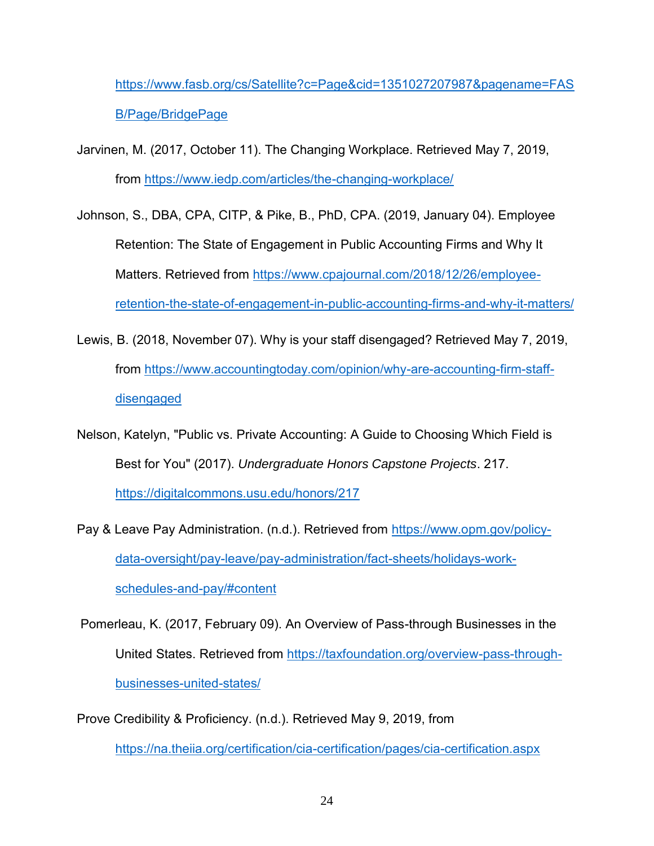https://www.fasb.org/cs/Satellite?c=Page&cid=1351027207987&pagename=FAS B/Page/BridgePage

- Jarvinen, M. (2017, October 11). The Changing Workplace. Retrieved May 7, 2019, from https://www.iedp.com/articles/the-changing-workplace/
- Johnson, S., DBA, CPA, CITP, & Pike, B., PhD, CPA. (2019, January 04). Employee Retention: The State of Engagement in Public Accounting Firms and Why It Matters. Retrieved from https://www.cpajournal.com/2018/12/26/employeeretention-the-state-of-engagement-in-public-accounting-firms-and-why-it-matters/
- Lewis, B. (2018, November 07). Why is your staff disengaged? Retrieved May 7, 2019, from https://www.accountingtoday.com/opinion/why-are-accounting-firm-staffdisengaged
- Nelson, Katelyn, "Public vs. Private Accounting: A Guide to Choosing Which Field is Best for You" (2017). *Undergraduate Honors Capstone Projects*. 217. https://digitalcommons.usu.edu/honors/217
- Pay & Leave Pay Administration. (n.d.). Retrieved from https://www.opm.gov/policydata-oversight/pay-leave/pay-administration/fact-sheets/holidays-workschedules-and-pay/#content

Pomerleau, K. (2017, February 09). An Overview of Pass-through Businesses in the United States. Retrieved from https://taxfoundation.org/overview-pass-throughbusinesses-united-states/

Prove Credibility & Proficiency. (n.d.). Retrieved May 9, 2019, from https://na.theiia.org/certification/cia-certification/pages/cia-certification.aspx